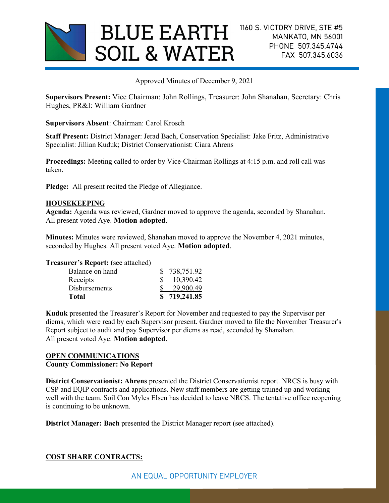

Approved Minutes of December 9, 2021

Supervisors Present: Vice Chairman: John Rollings, Treasurer: John Shanahan, Secretary: Chris Hughes, PR&I: William Gardner

Supervisors Absent: Chairman: Carol Krosch

Staff Present: District Manager: Jerad Bach, Conservation Specialist: Jake Fritz, Administrative Specialist: Jillian Kuduk; District Conservationist: Ciara Ahrens

Proceedings: Meeting called to order by Vice-Chairman Rollings at 4:15 p.m. and roll call was taken.

Pledge: All present recited the Pledge of Allegiance.

#### HOUSEKEEPING

Agenda: Agenda was reviewed, Gardner moved to approve the agenda, seconded by Shanahan. All present voted Aye. Motion adopted.

Minutes: Minutes were reviewed, Shanahan moved to approve the November 4, 2021 minutes, seconded by Hughes. All present voted Aye. Motion adopted.

Treasurer's Report: (see attached)

| Total                | \$719,241.85 |
|----------------------|--------------|
| <b>Disbursements</b> | 29,900.49    |
| Receipts             | 10,390.42    |
| Balance on hand      | \$738,751.92 |
|                      |              |

Kuduk presented the Treasurer's Report for November and requested to pay the Supervisor per diems, which were read by each Supervisor present. Gardner moved to file the November Treasurer's Report subject to audit and pay Supervisor per diems as read, seconded by Shanahan. All present voted Aye. Motion adopted.

### OPEN COMMUNICATIONS

# County Commissioner: No Report

District Conservationist: Ahrens presented the District Conservationist report. NRCS is busy with CSP and EQIP contracts and applications. New staff members are getting trained up and working well with the team. Soil Con Myles Elsen has decided to leave NRCS. The tentative office reopening is continuing to be unknown.

District Manager: Bach presented the District Manager report (see attached).

### COST SHARE CONTRACTS: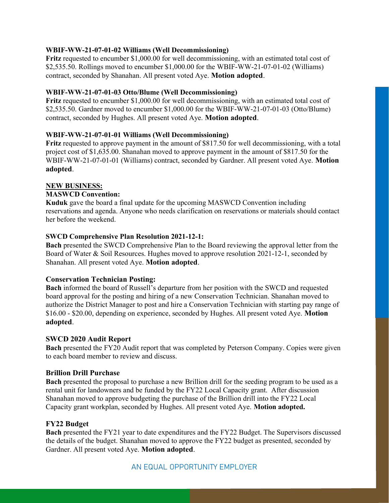## WBIF-WW-21-07-01-02 Williams (Well Decommissioning)

Fritz requested to encumber \$1,000.00 for well decommissioning, with an estimated total cost of \$2,535.50. Rollings moved to encumber \$1,000.00 for the WBIF-WW-21-07-01-02 (Williams) contract, seconded by Shanahan. All present voted Aye. Motion adopted.

### WBIF-WW-21-07-01-03 Otto/Blume (Well Decommissioning)

Fritz requested to encumber \$1,000.00 for well decommissioning, with an estimated total cost of \$2,535.50. Gardner moved to encumber \$1,000.00 for the WBIF-WW-21-07-01-03 (Otto/Blume) contract, seconded by Hughes. All present voted Aye. Motion adopted.

### WBIF-WW-21-07-01-01 Williams (Well Decommissioning)

Fritz requested to approve payment in the amount of \$817.50 for well decommissioning, with a total project cost of \$1,635.00. Shanahan moved to approve payment in the amount of \$817.50 for the WBIF-WW-21-07-01-01 (Williams) contract, seconded by Gardner. All present voted Aye. Motion adopted.

### NEW BUSINESS:

### MASWCD Convention:

Kuduk gave the board a final update for the upcoming MASWCD Convention including reservations and agenda. Anyone who needs clarification on reservations or materials should contact her before the weekend.

### SWCD Comprehensive Plan Resolution 2021-12-1:

Bach presented the SWCD Comprehensive Plan to the Board reviewing the approval letter from the Board of Water & Soil Resources. Hughes moved to approve resolution 2021-12-1, seconded by Shanahan. All present voted Aye. Motion adopted.

### Conservation Technician Posting:

Bach informed the board of Russell's departure from her position with the SWCD and requested board approval for the posting and hiring of a new Conservation Technician. Shanahan moved to authorize the District Manager to post and hire a Conservation Technician with starting pay range of \$16.00 - \$20.00, depending on experience, seconded by Hughes. All present voted Aye. Motion adopted.

### SWCD 2020 Audit Report

Bach presented the FY20 Audit report that was completed by Peterson Company. Copies were given to each board member to review and discuss.

### Brillion Drill Purchase

Bach presented the proposal to purchase a new Brillion drill for the seeding program to be used as a rental unit for landowners and be funded by the FY22 Local Capacity grant. After discussion Shanahan moved to approve budgeting the purchase of the Brillion drill into the FY22 Local Capacity grant workplan, seconded by Hughes. All present voted Aye. Motion adopted.

# FY22 Budget

Bach presented the FY21 year to date expenditures and the FY22 Budget. The Supervisors discussed the details of the budget. Shanahan moved to approve the FY22 budget as presented, seconded by Gardner. All present voted Aye. Motion adopted.